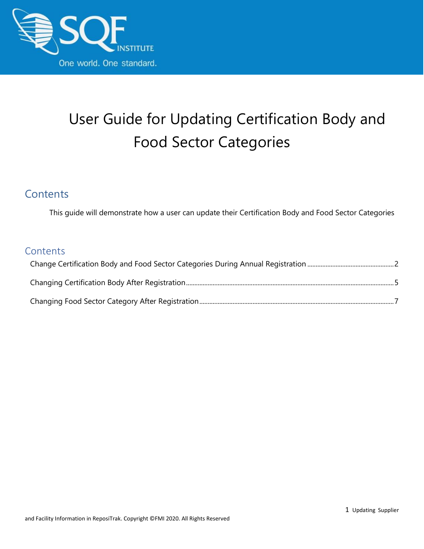

## User Guide for Updating Certification Body and Food Sector Categories

#### **Contents**

This guide will demonstrate how a user can update their Certification Body and Food Sector Categories

#### **Contents**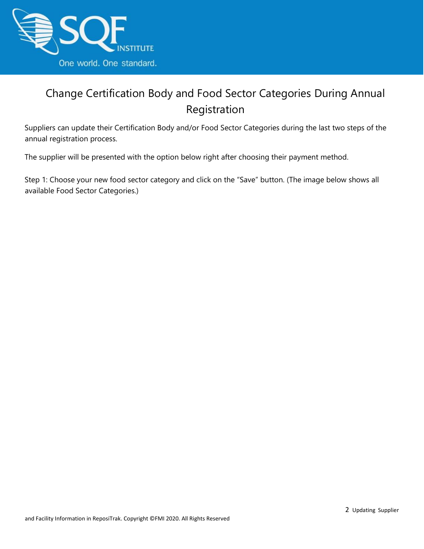

### <span id="page-1-0"></span>Change Certification Body and Food Sector Categories During Annual Registration

Suppliers can update their Certification Body and/or Food Sector Categories during the last two steps of the annual registration process.

The supplier will be presented with the option below right after choosing their payment method.

Step 1: Choose your new food sector category and click on the "Save" button. (The image below shows all available Food Sector Categories.)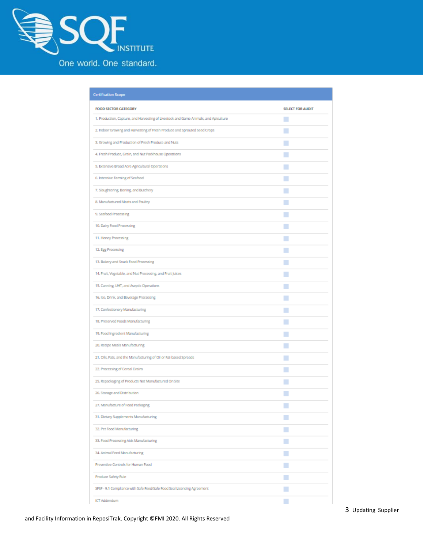

| <b>Certification Scope</b>                                                           |                         |
|--------------------------------------------------------------------------------------|-------------------------|
| FOOD SECTOR CATEGORY                                                                 | <b>SELECT FOR AUDIT</b> |
| 1. Production, Capture, and Harvesting of Livestock and Game Animals, and Apiculture | M                       |
| 2. Indoor Growing and Harvesting of Fresh Produce and Sprouted Seed Crops            | H                       |
| 3. Growing and Production of Fresh Produce and Nuts                                  | H                       |
| 4. Fresh Produce, Grain, and Nut Packhouse Operations                                | L.                      |
| 5. Extensive Broad Acre Agricultural Operations                                      | H                       |
| 6. Intensive Farming of Seafood                                                      | П                       |
| 7. Slaughtering, Boning, and Butchery                                                | L.                      |
| 8. Manufactured Meats and Poultry                                                    | n.                      |
| 9. Seafood Processing                                                                | L.                      |
| 10. Dairy Food Processing                                                            | H                       |
| 11. Honey Processing                                                                 | L.                      |
| 12. Egg Processing                                                                   | L.                      |
| 13. Bakery and Snack Food Processing                                                 | L.                      |
| 14. Fruit, Vegetable, and Nut Processing, and Fruit Juices                           | L.                      |
| 15. Canning, UHT, and Aseptic Operations                                             | L.                      |
| 16. Ice, Drink, and Beverage Processing                                              | H                       |
| 17. Confectionery Manufacturing                                                      | H                       |
| 18. Preserved Foods Manufacturing                                                    | L.                      |
| 19. Food Ingredient Manufacturing                                                    | L.                      |
| 20. Recipe Meals Manufacturing                                                       | L.                      |
| 21. Oils, Fats, and the Manufacturing of Oil or Fat-based Spreads                    | H                       |
| 22. Processing of Cereal Grains                                                      | L.                      |
| 25. Repackaging of Products Not Manufactured On Site                                 | H                       |
| 26. Storage and Distribution                                                         |                         |
| 27. Manufacture of Food Packaging                                                    | □                       |
| 31. Dietary Supplements Manufacturing                                                | H                       |
| 32. Pet Food Manufacturing                                                           | L.                      |
| 33. Food Processing Aids Manufacturing                                               | L.                      |
| 34. Animal Feed Manufacturing                                                        | L.                      |
| Preventive Controls for Human Food                                                   | L.                      |
| Produce Safety Rule                                                                  |                         |
| SFSF - 9.1 Compilance with Safe Feed/Safe Food Seal Licensing Agreement              | H                       |
| <b>ICT Addendum</b>                                                                  |                         |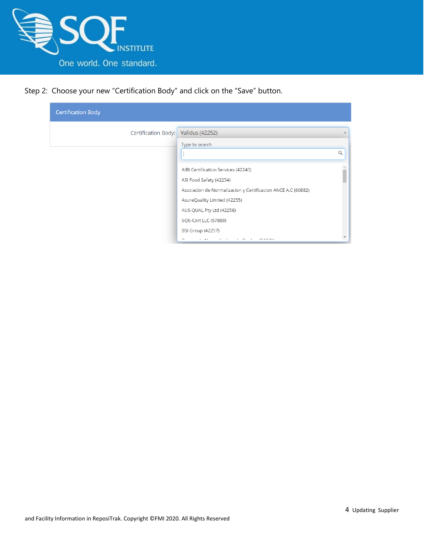

Step 2: Choose your new "Certification Body" and click on the "Save" button.

| <b>Certification Body</b> |                                                              |   |
|---------------------------|--------------------------------------------------------------|---|
| Certification Body:       | <b>Validus (42252)</b>                                       |   |
|                           | Type to search                                               |   |
|                           |                                                              | Q |
|                           | AIBI Certification Services (42240)                          |   |
|                           | ASI Food Safety (42254)                                      |   |
|                           | Asociacion de Normalizacion y Certificacion ANCE A.C (60882) |   |
|                           | AsureQuality Limited (42255)                                 |   |
|                           | AUS-QUAL Pty Ltd (42256)                                     |   |
|                           | bQb-Cert LLC (57888)                                         |   |
|                           | <b>BSI Group (42257)</b>                                     |   |
|                           | $1 - h +$<br>$\sim$                                          |   |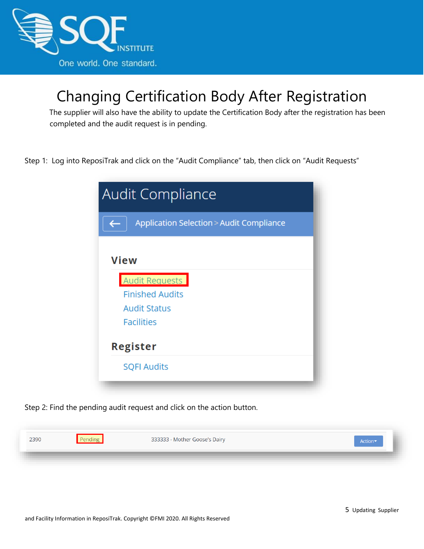

## <span id="page-4-0"></span>Changing Certification Body After Registration

The supplier will also have the ability to update the Certification Body after the registration has been completed and the audit request is in pending.

Step 1: Log into ReposiTrak and click on the "Audit Compliance" tab, then click on "Audit Requests"

| <b>Audit Compliance</b>                            |  |
|----------------------------------------------------|--|
| <b>Application Selection &gt; Audit Compliance</b> |  |
| <b>View</b>                                        |  |
| Audit Requests                                     |  |
| <b>Finished Audits</b>                             |  |
| <b>Audit Status</b>                                |  |
| <b>Facilities</b>                                  |  |
| Register                                           |  |
| <b>SQFI Audits</b>                                 |  |

Step 2: Find the pending audit request and click on the action button.

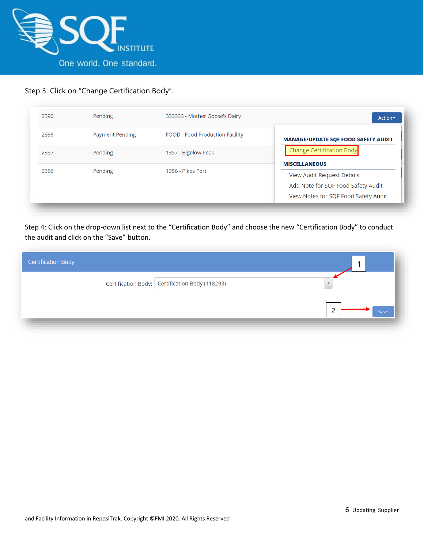

#### Step 3: Click on "Change Certification Body".

| 2390 | Pending                | 333333 - Mother Goose's Dairy   | Action                                                                                                                           |
|------|------------------------|---------------------------------|----------------------------------------------------------------------------------------------------------------------------------|
| 2388 | <b>Payment Pending</b> | FOOD - Food Production Facility | <b>MANAGE/UPDATE SQF FOOD SAFETY AUDIT</b>                                                                                       |
| 2387 | Pending                | 1357 - Bigelow Peak             | <b>Change Certification Body</b>                                                                                                 |
| 2386 | Pending                | 1356 - Pikes Port               | <b>MISCELLANEOUS</b><br>View Audit Request Details<br>Add Note for SQF Food Safety Audit<br>View Notes for SQF Food Safety Audit |

Step 4: Click on the drop-down list next to the "Certification Body" and choose the new "Certification Body" to conduct the audit and click on the "Save" button.

| <b>Certification Body</b> |                                                 |      |
|---------------------------|-------------------------------------------------|------|
|                           | Certification Body: Certification Body (118293) |      |
|                           |                                                 | Save |
|                           |                                                 |      |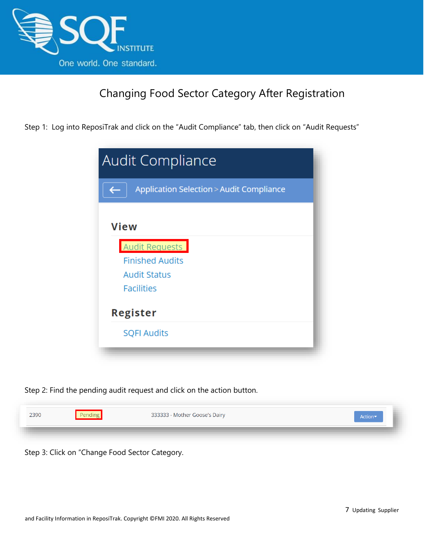

#### Changing Food Sector Category After Registration

<span id="page-6-0"></span>Step 1: Log into ReposiTrak and click on the "Audit Compliance" tab, then click on "Audit Requests"

|                        | Application Selection > Audit Compliance |
|------------------------|------------------------------------------|
| <b>View</b>            |                                          |
| <b>Audit Requests</b>  |                                          |
| <b>Finished Audits</b> |                                          |
| <b>Audit Status</b>    |                                          |
| <b>Facilities</b>      |                                          |
| Register               |                                          |
| <b>SQFI Audits</b>     |                                          |

Step 2: Find the pending audit request and click on the action button.



Step 3: Click on "Change Food Sector Category.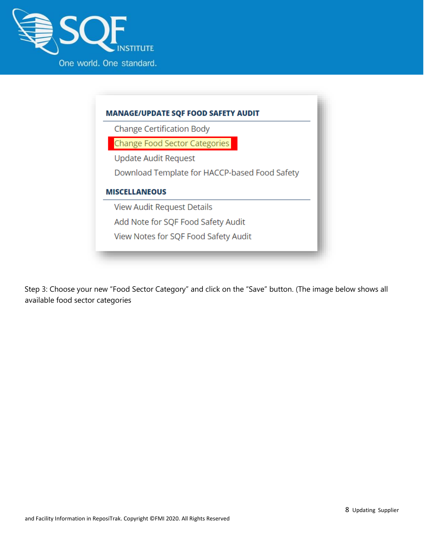



Step 3: Choose your new "Food Sector Category" and click on the "Save" button. (The image below shows all available food sector categories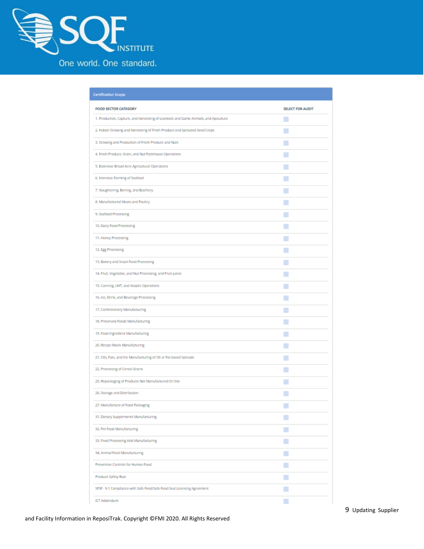

| <b>Certification Scope</b>                                                           |                         |
|--------------------------------------------------------------------------------------|-------------------------|
| FOOD SECTOR CATEGORY                                                                 | <b>SELECT FOR AUDIT</b> |
| 1. Production, Capture, and Harvesting of Livestock and Game Animals, and Apiculture | M                       |
| 2. Indoor Growing and Harvesting of Fresh Produce and Sprouted Seed Crops            | H                       |
| 3. Growing and Production of Fresh Produce and Nuts                                  | H                       |
| 4. Fresh Produce, Grain, and Nut Packhouse Operations                                | L.                      |
| 5. Extensive Broad Acre Agricultural Operations                                      | H                       |
| 6. Intensive Farming of Seafood                                                      | □                       |
| 7. Slaughtering, Boning, and Butchery                                                | L.                      |
| 8. Manufactured Meats and Poultry                                                    | n.                      |
| 9. Seafood Processing                                                                | L.                      |
| 10. Dairy Food Processing                                                            | H                       |
| 11. Honey Processing                                                                 | L.                      |
| 12. Egg Processing                                                                   | L.                      |
| 13. Bakery and Snack Food Processing                                                 | L.                      |
| 14. Fruit, Vegetable, and Nut Processing, and Fruit Juices                           | L.                      |
| 15. Canning, UHT, and Aseptic Operations                                             | L.                      |
| 16. Ice, Drink, and Beverage Processing                                              | H                       |
| 17. Confectionery Manufacturing                                                      | H                       |
| 18. Preserved Foods Manufacturing                                                    | L.                      |
| 19. Food Ingredient Manufacturing                                                    | L.                      |
| 20. Recipe Meals Manufacturing                                                       | L.                      |
| 21. Oils, Fats, and the Manufacturing of Oil or Fat-based Spreads                    | H                       |
| 22. Processing of Cereal Grains                                                      | L.                      |
| 25. Repackaging of Products Not Manufactured On Site                                 | H                       |
| 26. Storage and Distribution                                                         |                         |
| 27. Manufacture of Food Packaging                                                    | □                       |
| 31. Dietary Supplements Manufacturing                                                | H                       |
| 32. Pet Food Manufacturing                                                           | L.                      |
| 33. Food Processing Aids Manufacturing                                               | L.                      |
| 34. Animal Feed Manufacturing                                                        | L.                      |
| Preventive Controls for Human Food                                                   | L.                      |
| Produce Safety Rule                                                                  |                         |
| SFSF - 9.1 Compilance with Safe Feed/Safe Food Seal Licensing Agreement              | H                       |
| <b>ICT Addendum</b>                                                                  |                         |